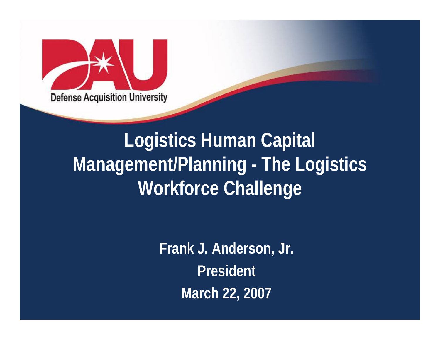

# **Logistics Human Capital Management/Planning - The Logistics Workforce Challenge**

**Frank J. Anderson, Jr. President March 22, 2007**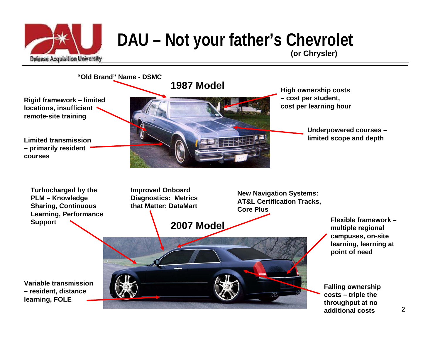

## **DAU – Not your father's Chevrolet**





**Turbocharged by the PLM – Knowledge Sharing, Continuous Learning, Performance Support**



**New Navigation Systems: AT&L Certification Tracks, Core Plus** 

> **Flexible framework –multiple regional campuses, on-site learning, learning at point of need**

**Falling ownership costs – triple the throughput at no additional costs**

**Variable transmission – resident, distance learning, FOLE**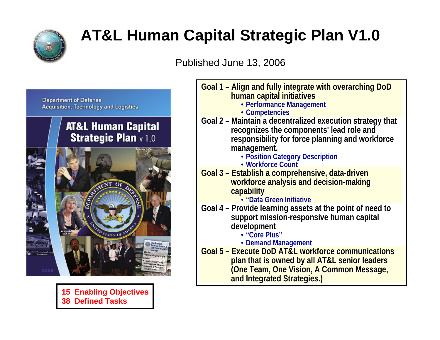

#### **AT&L Human Capital Strategic Plan V1.0**

Published June 13, 2006



#### **AT&L Human Capital Strategic Plan** v 1.0



**15 Enabling Objectives 38 Defined Tasks**

| Goal 1 – Align and fully integrate with overarching DoD<br>human capital initiatives<br>• Performance Management<br>• Competencies                                                                                              |
|---------------------------------------------------------------------------------------------------------------------------------------------------------------------------------------------------------------------------------|
| Goal 2 - Maintain a decentralized execution strategy that<br>recognizes the components' lead role and<br>responsibility for force planning and workforce<br>management.<br>· Position Category Description<br>· Workforce Count |
| <u>Goal 3 – Establish a comprehensive, data-driven</u><br>workforce analysis and decision-making<br>capability<br>· "Data Green Initiative                                                                                      |
| Goal 4 – Provide learning assets at the point of need to<br>support mission-responsive human capital<br>development<br>• "Core Plus"<br>• Demand Management                                                                     |
| Goal 5 - Execute DoD AT&L workforce communications<br>plan that is owned by all AT&L senior leaders<br>(One Team, One Vision, A Common Message,<br>and Integrated Strategies.)                                                  |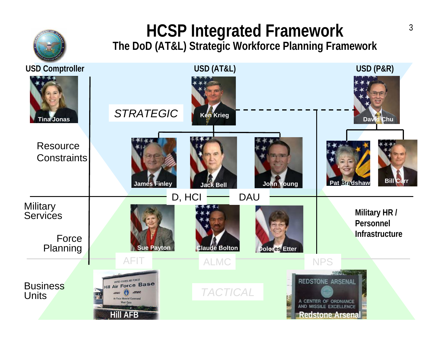

# **HCSP Integrated Framework The DoD (AT&L) Strategic Workforce Planning Framework**

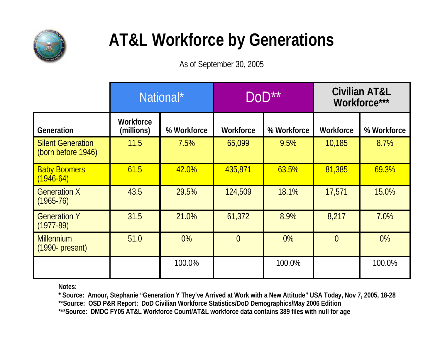

### **AT&L Workforce by Generations**

As of September 30, 2005

|                                                | National*               |             | DoD**          |             | <b>Civilian AT&amp;L</b><br>Workforce*** |             |
|------------------------------------------------|-------------------------|-------------|----------------|-------------|------------------------------------------|-------------|
| Generation                                     | Workforce<br>(millions) | % Workforce | Workforce      | % Workforce | Workforce                                | % Workforce |
| <b>Silent Generation</b><br>(born before 1946) | 11.5                    | 7.5%        | 65,099         | 9.5%        | 10,185                                   | 8.7%        |
| <b>Baby Boomers</b><br>$(1946-64)$             | 61.5                    | 42.0%       | 435,871        | 63.5%       | 81,385                                   | 69.3%       |
| <b>Generation X</b><br>$(1965 - 76)$           | 43.5                    | 29.5%       | 124,509        | 18.1%       | 17,571                                   | 15.0%       |
| <b>Generation Y</b><br>$(1977-89)$             | 31.5                    | 21.0%       | 61,372         | 8.9%        | 8,217                                    | 7.0%        |
| <b>Millennium</b><br>$(1990 - present)$        | 51.0                    | 0%          | $\overline{0}$ | 0%          | $\overline{0}$                           | 0%          |
|                                                |                         | 100.0%      |                | 100.0%      |                                          | 100.0%      |

**Notes:**

**\* Source: Amour, Stephanie "Generation Y They've Arrived at Work with a New Attitude" USA Today, Nov 7, 2005, 18-28 \*\*Source: OSD P&R Report: DoD Civilian Workforce Statistics/DoD Demographics/May 2006 Edition \*\*\*Source: DMDC FY05 AT&L Workforce Count/AT&L workforce data contains 389 files with null for age**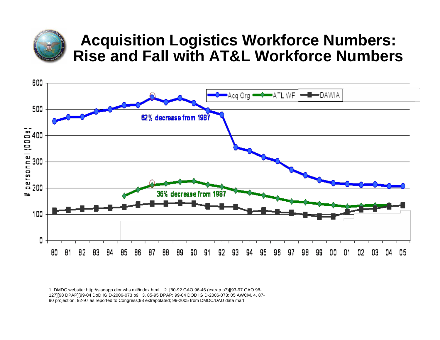

#### **Acquisition Logistics Workforce Numbers: Rise and Fall with AT&L Workforce Numbers**



1. DMDC website: <http://siadapp.dior.whs.mil/index.html>. 2. [80-92 GAO 96-46 (extrap p7)][93-97 GAO 98- 127][98 DPAP][99-04 DoD IG D-2006-073 p9. 3. 85-95 DPAP; 99-04 DOD IG D-2006-073; 05 AWCM. 4. 87- 90 projection; 92-97 as reported to Congress;98 extrapolated; 99-2005 from DMDC/DAU data mart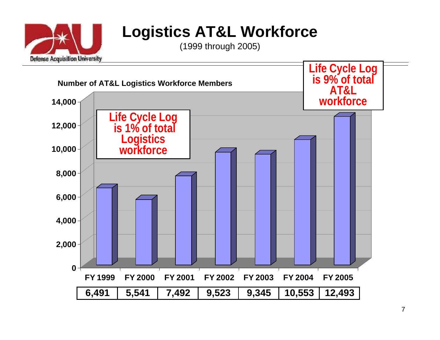

#### **Logistics AT&L Workforce**

(1999 through 2005)

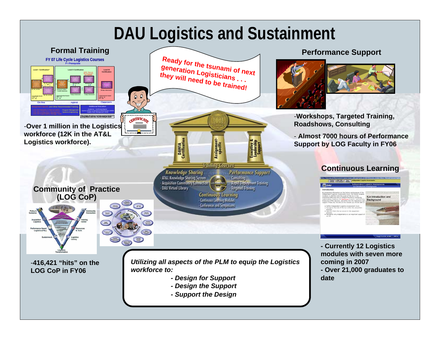#### **DAU Logistics and Sustainment**